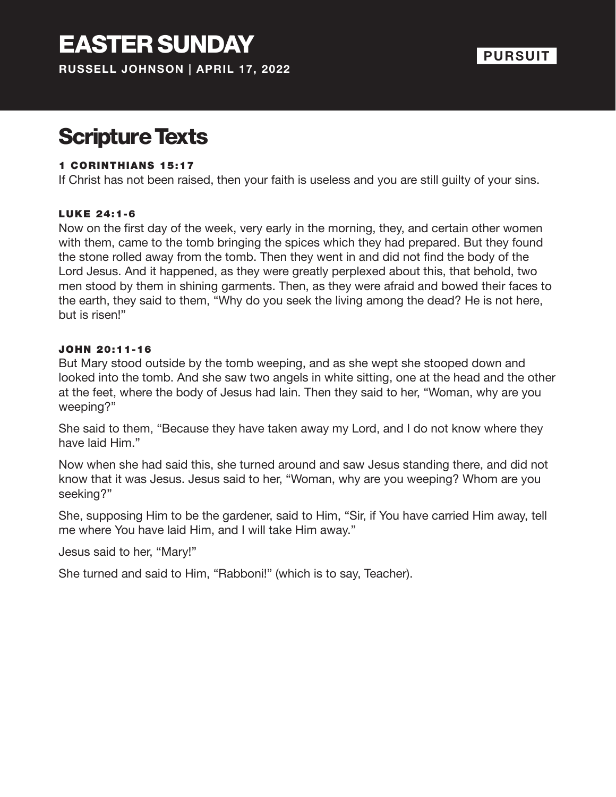## Scripture Texts

#### 1 CORINTHIANS 15:17

If Christ has not been raised, then your faith is useless and you are still guilty of your sins.

#### LUKE 24:1-6

Now on the first day of the week, very early in the morning, they, and certain other women with them, came to the tomb bringing the spices which they had prepared. But they found the stone rolled away from the tomb. Then they went in and did not find the body of the Lord Jesus. And it happened, as they were greatly perplexed about this, that behold, two men stood by them in shining garments. Then, as they were afraid and bowed their faces to the earth, they said to them, "Why do you seek the living among the dead? He is not here, but is risen!"

#### JOHN 20:11-16

But Mary stood outside by the tomb weeping, and as she wept she stooped down and looked into the tomb. And she saw two angels in white sitting, one at the head and the other at the feet, where the body of Jesus had lain. Then they said to her, "Woman, why are you weeping?"

She said to them, "Because they have taken away my Lord, and I do not know where they have laid Him."

Now when she had said this, she turned around and saw Jesus standing there, and did not know that it was Jesus. Jesus said to her, "Woman, why are you weeping? Whom are you seeking?"

She, supposing Him to be the gardener, said to Him, "Sir, if You have carried Him away, tell me where You have laid Him, and I will take Him away."

Jesus said to her, "Mary!"

She turned and said to Him, "Rabboni!" (which is to say, Teacher).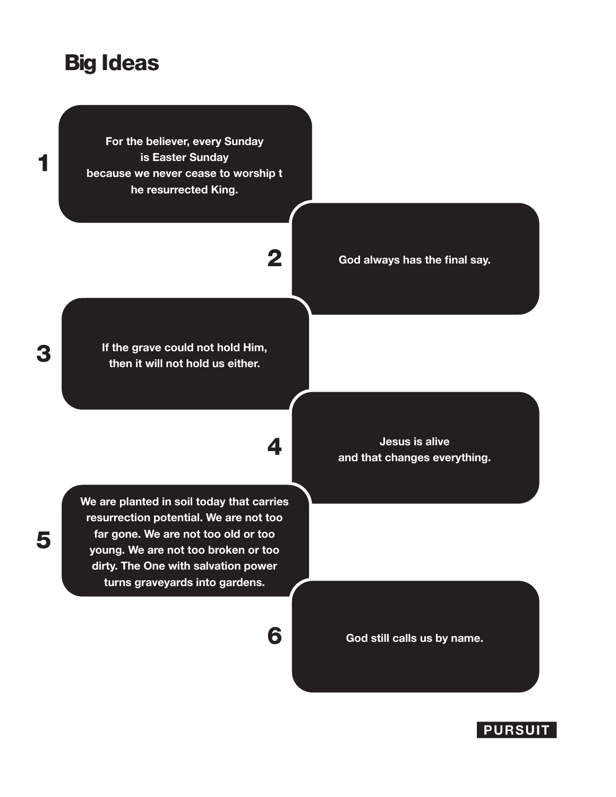### Big Ideas

**For the believer, every Sunday is Easter Sunday because we never cease to worship t he resurrected King.** 

**If the grave could not hold Him, then it will not hold us either.**

2

**We are planted in soil today that carries resurrection potential. We are not too far gone. We are not too old or too young. We are not too broken or too dirty. The One with salvation power turns graveyards into gardens.**

**Jesus is alive** 4 **and that changes everything.**

**God always has the final say.**

6 **God still calls us by name.**

**PURSUIT** 

### 3

5

1